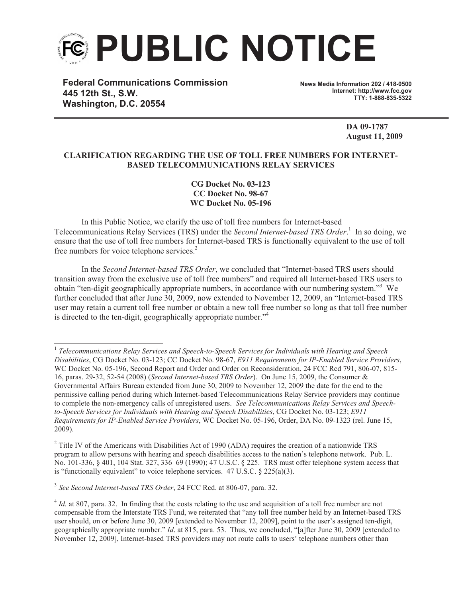

**Federal Communications Commission 445 12th St., S.W. Washington, D.C. 20554**

**News Media Information 202 / 418-0500 Internet: http://www.fcc.gov TTY: 1-888-835-5322**

> **DA 09-1787 August 11, 2009**

## **CLARIFICATION REGARDING THE USE OF TOLL FREE NUMBERS FOR INTERNET-BASED TELECOMMUNICATIONS RELAY SERVICES**

**CG Docket No. 03-123 CC Docket No. 98-67 WC Docket No. 05-196**

In this Public Notice, we clarify the use of toll free numbers for Internet-based Telecommunications Relay Services (TRS) under the *Second Internet-based TRS Order*. 1 In so doing, we ensure that the use of toll free numbers for Internet-based TRS is functionally equivalent to the use of toll free numbers for voice telephone services.<sup>2</sup>

In the *Second Internet-based TRS Order*, we concluded that "Internet-based TRS users should transition away from the exclusive use of toll free numbers" and required all Internet-based TRS users to obtain "ten-digit geographically appropriate numbers, in accordance with our numbering system."<sup>3</sup> We further concluded that after June 30, 2009, now extended to November 12, 2009, an "Internet-based TRS user may retain a current toll free number or obtain a new toll free number so long as that toll free number is directed to the ten-digit, geographically appropriate number."<sup>4</sup>

3 *See Second Internet-based TRS Order*, 24 FCC Rcd. at 806-07, para. 32.

<sup>&</sup>lt;sup>1</sup> Telecommunications Relay Services and Speech-to-Speech Services for Individuals with Hearing and Speech *Disabilities*, CG Docket No. 03-123; CC Docket No. 98-67, *E911 Requirements for IP-Enabled Service Providers*, WC Docket No. 05-196, Second Report and Order and Order on Reconsideration, 24 FCC Rcd 791, 806-07, 815-16, paras. 29-32, 52-54 (2008) (*Second Internet-based TRS Order*). On June 15, 2009, the Consumer & Governmental Affairs Bureau extended from June 30, 2009 to November 12, 2009 the date for the end to the permissive calling period during which Internet-based Telecommunications Relay Service providers may continue to complete the non-emergency calls of unregistered users. *See Telecommunications Relay Services and Speechto-Speech Services for Individuals with Hearing and Speech Disabilities*, CG Docket No. 03-123; *E911 Requirements for IP-Enabled Service Providers*, WC Docket No. 05-196, Order, DA No. 09-1323 (rel. June 15, 2009).

<sup>&</sup>lt;sup>2</sup> Title IV of the Americans with Disabilities Act of 1990 (ADA) requires the creation of a nationwide TRS program to allow persons with hearing and speech disabilities access to the nation's telephone network. Pub. L. No. 101-336, § 401, 104 Stat. 327, 336–69 (1990); 47 U.S.C. § 225. TRS must offer telephone system access that is "functionally equivalent" to voice telephone services.  $47 \text{ U.S.C.}$   $\&$  225(a)(3).

<sup>&</sup>lt;sup>4</sup> *Id.* at 807, para. 32. In finding that the costs relating to the use and acquisition of a toll free number are not compensable from the Interstate TRS Fund, we reiterated that "any toll free number held by an Internet-based TRS user should, on or before June 30, 2009 [extended to November 12, 2009], point to the user's assigned ten-digit, geographically appropriate number." *Id*. at 815, para. 53. Thus, we concluded, "[a]fter June 30, 2009 [extended to November 12, 2009], Internet-based TRS providers may not route calls to users' telephone numbers other than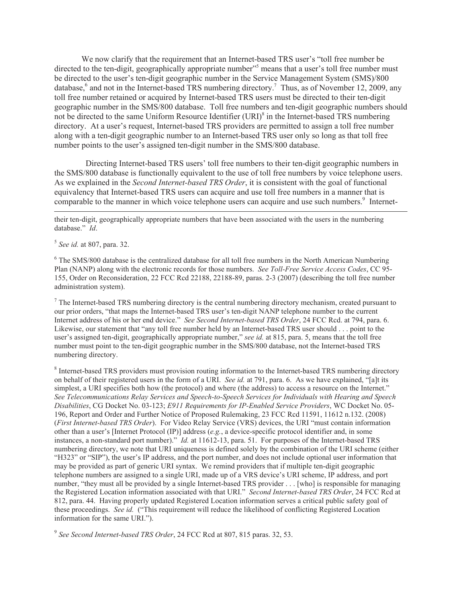We now clarify that the requirement that an Internet-based TRS user's "toll free number be directed to the ten-digit, geographically appropriate number"<sup>5</sup> means that a user's toll free number must be directed to the user's ten-digit geographic number in the Service Management System (SMS)/800 database,<sup>6</sup> and not in the Internet-based TRS numbering directory.<sup>7</sup> Thus, as of November 12, 2009, any toll free number retained or acquired by Internet-based TRS users must be directed to their ten-digit geographic number in the SMS/800 database. Toll free numbers and ten-digit geographic numbers should not be directed to the same Uniform Resource Identifier (URI)<sup>8</sup> in the Internet-based TRS numbering directory. At a user's request, Internet-based TRS providers are permitted to assign a toll free number along with a ten-digit geographic number to an Internet-based TRS user only so long as that toll free number points to the user's assigned ten-digit number in the SMS/800 database.

Directing Internet-based TRS users' toll free numbers to their ten-digit geographic numbers in the SMS/800 database is functionally equivalent to the use of toll free numbers by voice telephone users. As we explained in the *Second Internet-based TRS Order*, it is consistent with the goal of functional equivalency that Internet-based TRS users can acquire and use toll free numbers in a manner that is comparable to the manner in which voice telephone users can acquire and use such numbers.<sup>9</sup> Internet-

their ten-digit, geographically appropriate numbers that have been associated with the users in the numbering database." *Id*.

5 *See id.* at 807, para. 32.

<sup>6</sup> The SMS/800 database is the centralized database for all toll free numbers in the North American Numbering Plan (NANP) along with the electronic records for those numbers. *See Toll-Free Service Access Codes*, CC 95- 155, Order on Reconsideration, 22 FCC Rcd 22188, 22188-89, paras. 2-3 (2007) (describing the toll free number administration system).

<sup>7</sup> The Internet-based TRS numbering directory is the central numbering directory mechanism, created pursuant to our prior orders, "that maps the Internet-based TRS user's ten-digit NANP telephone number to the current Internet address of his or her end device." *See Second Internet-based TRS Order*, 24 FCC Rcd. at 794, para. 6. Likewise, our statement that "any toll free number held by an Internet-based TRS user should . . . point to the user's assigned ten-digit, geographically appropriate number," *see id.* at 815, para. 5, means that the toll free number must point to the ten-digit geographic number in the SMS/800 database, not the Internet-based TRS numbering directory.

<sup>8</sup> Internet-based TRS providers must provision routing information to the Internet-based TRS numbering directory on behalf of their registered users in the form of a URI. *See id.* at 791, para. 6. As we have explained, "[a]t its simplest, a URI specifies both how (the protocol) and where (the address) to access a resource on the Internet." *See Telecommunications Relay Services and Speech-to-Speech Services for Individuals with Hearing and Speech Disabilities*, CG Docket No. 03-123; *E911 Requirements for IP-Enabled Service Providers*, WC Docket No. 05- 196, Report and Order and Further Notice of Proposed Rulemaking, 23 FCC Rcd 11591, 11612 n.132. (2008) (*First Internet-based TRS Order*). For Video Relay Service (VRS) devices, the URI "must contain information other than a user's [Internet Protocol (IP)] address (*e.g.*, a device-specific protocol identifier and, in some instances, a non-standard port number)." *Id.* at 11612-13, para. 51. For purposes of the Internet-based TRS numbering directory, we note that URI uniqueness is defined solely by the combination of the URI scheme (either "H323" or "SIP"), the user's IP address, and the port number, and does not include optional user information that may be provided as part of generic URI syntax. We remind providers that if multiple ten-digit geographic telephone numbers are assigned to a single URI, made up of a VRS device's URI scheme, IP address, and port number, "they must all be provided by a single Internet-based TRS provider . . . [who] is responsible for managing the Registered Location information associated with that URI." *Second Internet-based TRS Order*, 24 FCC Rcd at 812, para. 44. Having properly updated Registered Location information serves a critical public safety goal of these proceedings. *See id.* ("This requirement will reduce the likelihood of conflicting Registered Location information for the same URI.").

9 *See Second Internet-based TRS Order*, 24 FCC Rcd at 807, 815 paras. 32, 53.